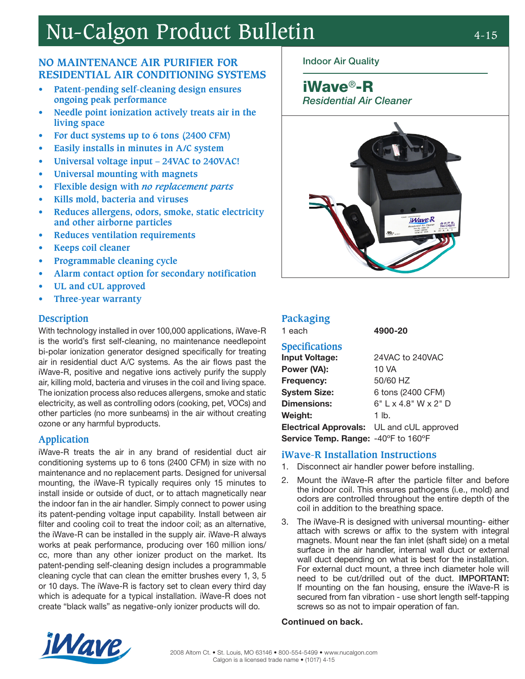# Nu-Calgon Product Bulletin 4-15

## **NO MAINTENANCE AIR PURIFIER FOR RESIDENTIAL AIR CONDITIONING SYSTEMS**

- **• Patent-pending self-cleaning design ensures ongoing peak performance**
- **• Needle point ionization actively treats air in the living space**
- **• For duct systems up to 6 tons (2400 CFM)**
- **• Easily installs in minutes in A/C system**
- **• Universal voltage input 24VAC to 240VAC!**
- **• Universal mounting with magnets**
- **• Flexible design with** *no replacement parts*
- **• Kills mold, bacteria and viruses**
- **• Reduces allergens, odors, smoke, static electricity and other airborne particles**
- **• Reduces ventilation requirements**
- **• Keeps coil cleaner**
- **• Programmable cleaning cycle**
- **• Alarm contact option for secondary notification**
- **• UL and cUL approved**
- **• Three-year warranty**

### **Description**

With technology installed in over 100,000 applications, iWave-R is the world's first self-cleaning, no maintenance needlepoint bi-polar ionization generator designed specifically for treating air in residential duct A/C systems. As the air flows past the iWave-R, positive and negative ions actively purify the supply air, killing mold, bacteria and viruses in the coil and living space. The ionization process also reduces allergens, smoke and static electricity, as well as controlling odors (cooking, pet, VOCs) and other particles (no more sunbeams) in the air without creating ozone or any harmful byproducts.

### **Application**

iWave-R treats the air in any brand of residential duct air conditioning systems up to 6 tons (2400 CFM) in size with no maintenance and no replacement parts. Designed for universal mounting, the iWave-R typically requires only 15 minutes to install inside or outside of duct, or to attach magnetically near the indoor fan in the air handler. Simply connect to power using its patent-pending voltage input capability. Install between air filter and cooling coil to treat the indoor coil; as an alternative, the iWave-R can be installed in the supply air. iWave-R always works at peak performance, producing over 160 million ions/ cc, more than any other ionizer product on the market. Its patent-pending self-cleaning design includes a programmable cleaning cycle that can clean the emitter brushes every 1, 3, 5 or 10 days. The iWave-R is factory set to clean every third day which is adequate for a typical installation. iWave-R does not create "black walls" as negative-only ionizer products will do.

## Indoor Air Quality

## iWave®-R

Residential Air Cleaner



## **Packaging**

1 each 4900-20

| <b>Specifications</b>                            |                        |
|--------------------------------------------------|------------------------|
| <b>Input Voltage:</b>                            | 24VAC to 240VAC        |
| Power (VA):                                      | 10 VA                  |
| <b>Frequency:</b>                                | 50/60 HZ               |
| <b>System Size:</b>                              | 6 tons (2400 CFM)      |
| <b>Dimensions:</b>                               | $6"$ L x 4.8" W x 2" D |
| Weight:                                          | $1$ lb.                |
| <b>Electrical Approvals:</b> UL and cUL approved |                        |
| Service Temp. Range: -40°F to 160°F              |                        |

### **iWave-R Installation Instructions**

- 1. Disconnect air handler power before installing.
- 2. Mount the iWave-R after the particle filter and before the indoor coil. This ensures pathogens (i.e., mold) and odors are controlled throughout the entire depth of the coil in addition to the breathing space.
- 3. The iWave-R is designed with universal mounting- either attach with screws or affix to the system with integral magnets. Mount near the fan inlet (shaft side) on a metal surface in the air handler, internal wall duct or external wall duct depending on what is best for the installation. For external duct mount, a three inch diameter hole will need to be cut/drilled out of the duct. IMPORTANT: If mounting on the fan housing, ensure the iWave-R is secured from fan vibration - use short length self-tapping screws so as not to impair operation of fan.

#### Continued on back.